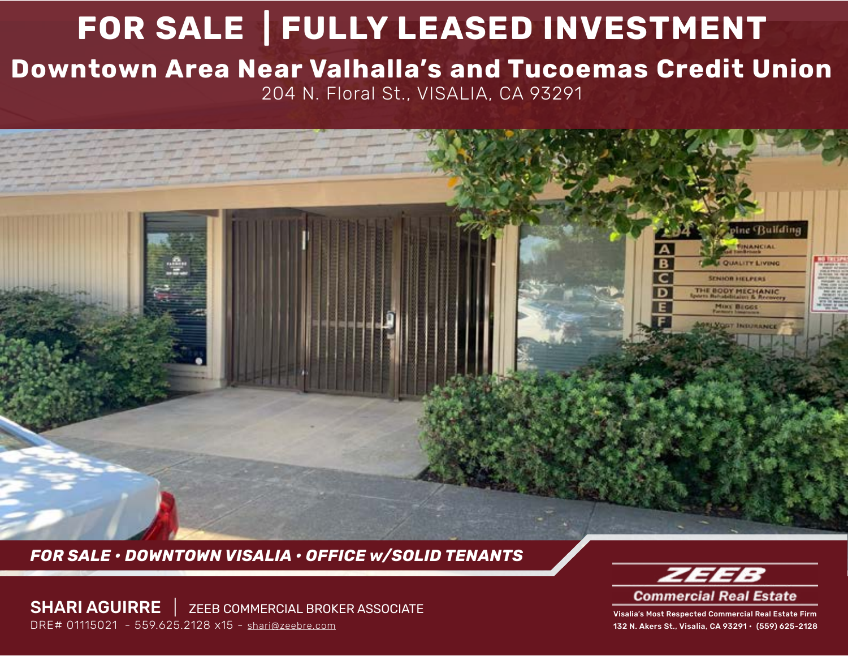# **FOR SALE | FULLY LEASED INVESTMENT Downtown Area Near Valhalla's and Tucoemas Credit Union** 204 N. Floral St., VISALIA, CA 93291

*FOR SALE • DOWNTOWN VISALIA • OFFICE w/SOLID TENANTS*

SHARI AGUIRRE | ZEEB COMMERCIAL BROKER ASSOCIATE DRE# 01115021 - 559.625.2128 x15 - [shari@zeebre.com](mailto:shari%40zeebre.com?subject=)



pine Building **TINANCIAL** 

**A QUALITY LIVING SENIOR HELPERS** THE BODY MECHANIC **MIKE BEGGS NORTH INTERNATION** 

B

Visalia's Most Respected Commercial Real Estate Firm 132 N. Akers St., Visalia, CA 93291 • (559) 625-2128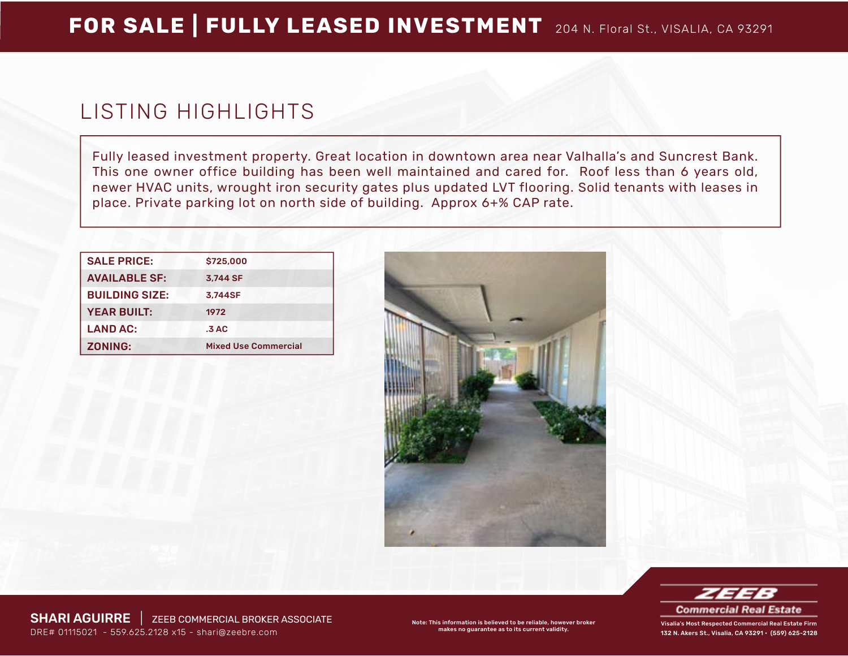## LISTING HIGHLIGHTS

Fully leased investment property. Great location in downtown area near Valhalla's and Suncrest Bank. This one owner office building has been well maintained and cared for. Roof less than 6 years old, newer HVAC units, wrought iron security gates plus updated LVT flooring. Solid tenants with leases in place. Private parking lot on north side of building. Approx 6+% CAP rate.

| <b>SALE PRICE:</b>    | \$725,000                   |
|-----------------------|-----------------------------|
| <b>AVAILABLE SF:</b>  | 3.744 SF                    |
| <b>BUILDING SIZE:</b> | 3.744SF                     |
| <b>YEAR BUILT:</b>    | 1972                        |
| <b>LAND AC:</b>       | .3AC                        |
| <b>ZONING:</b>        | <b>Mixed Use Commercial</b> |





132 N. Akers St., Visalia, CA 93291 • (559) 625-2128

SHARI AGUIRRE | ZEEB COMMERCIAL BROKER ASSOCIATE DRE# 01115021 - 559.625.2128 x15 - [shari@zeebre.com](mailto:shari%40zeebre.com?subject=)

Note: This information is believed to be reliable, however broker makes no guarantee as to its current validity.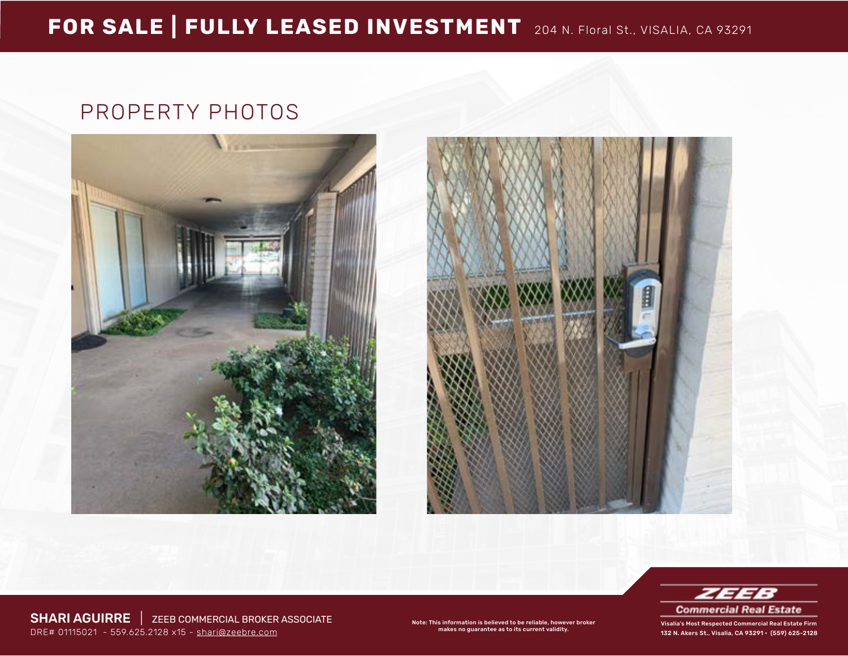### PROPERTY PHOTOS







132 N. Akers St., Visalia, CA 93291 • (559) 625-2128

SHARI AGUIRRE | ZEEB COMMERCIAL BROKER ASSOCIATE DRE# 01115021 - 559.625.2128 x15 - [shari@zeebre.com](mailto:shari%40zeebre.com?subject=)

Note: This information is believed to be reliable, however broker makes no guarantee as to its current validity.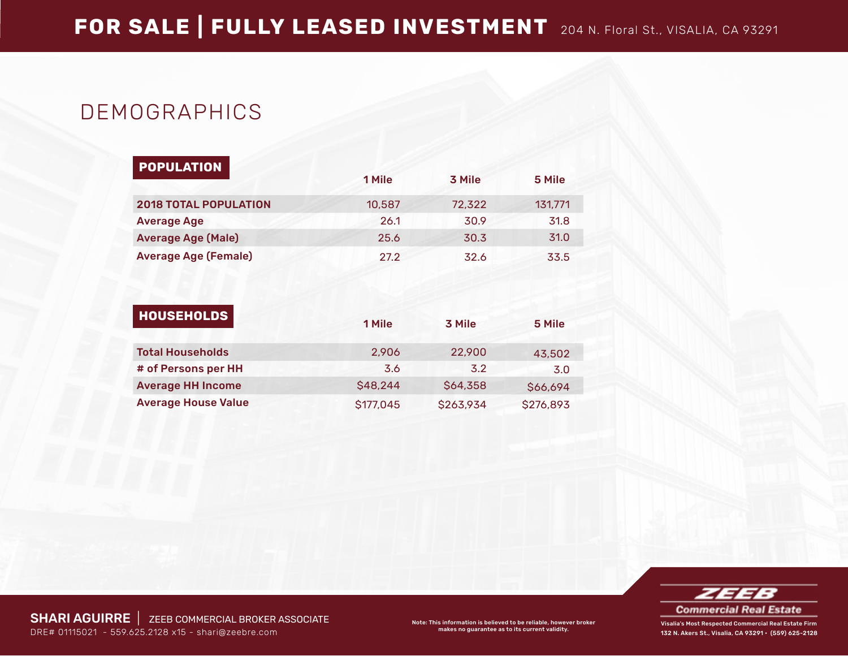## DEMOGRAPHICS

| <b>POPULATION</b>            | 1 Mile | 3 Mile | 5 Mile  |
|------------------------------|--------|--------|---------|
| <b>2018 TOTAL POPULATION</b> | 10,587 | 72,322 | 131,771 |
| <b>Average Age</b>           | 26.1   | 30.9   | 31.8    |
| <b>Average Age (Male)</b>    | 25.6   | 30.3   | 31.0    |
| <b>Average Age (Female)</b>  | 27.2   | 32.6   | 33.5    |

| <b>HOUSEHOLDS</b>          | 1 Mile    | 3 Mile    | 5 Mile    |
|----------------------------|-----------|-----------|-----------|
| <b>Total Households</b>    | 2.906     | 22,900    | 43,502    |
| # of Persons per HH        | 3.6       | 3.2       | 3.0       |
| <b>Average HH Income</b>   | \$48,244  | \$64,358  | \$66,694  |
| <b>Average House Value</b> | \$177,045 | \$263,934 | \$276,893 |



132 N. Akers St., Visalia, CA 93291 • (559) 625-2128

SHARI AGUIRRE | ZEEB COMMERCIAL BROKER ASSOCIATE DRE# 01115021 - 559.625.2128 x15 - [shari@zeebre.com](mailto:shari%40zeebre.com?subject=)

Note: This information is believed to be reliable, however broker makes no guarantee as to its current validity.